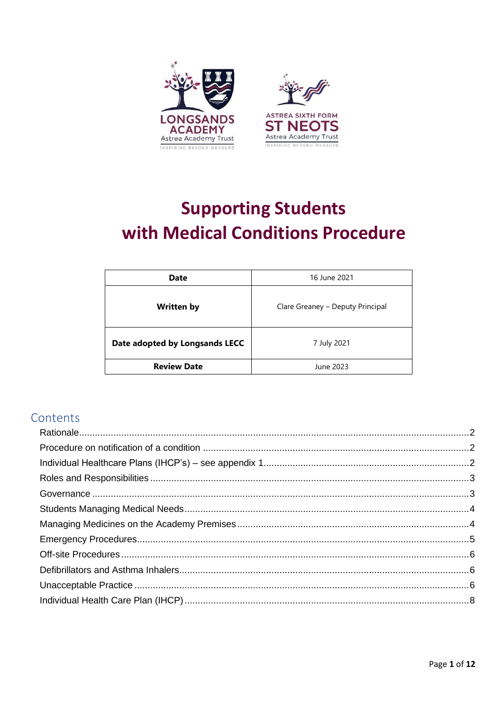

# **Supporting Students** with Medical Conditions Procedure

| 16 June 2021<br>Date           |                                  |  |
|--------------------------------|----------------------------------|--|
| <b>Written by</b>              | Clare Greaney - Deputy Principal |  |
| Date adopted by Longsands LECC | 7 July 2021                      |  |
| <b>Review Date</b>             | June 2023                        |  |

# Contents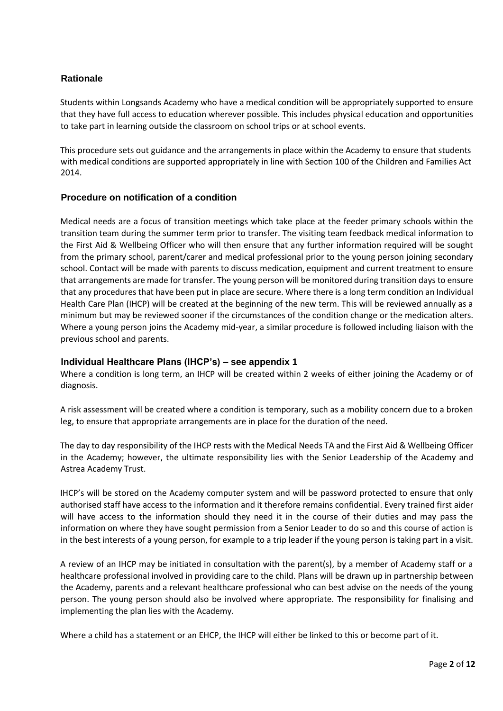# <span id="page-1-0"></span>**Rationale**

Students within Longsands Academy who have a medical condition will be appropriately supported to ensure that they have full access to education wherever possible. This includes physical education and opportunities to take part in learning outside the classroom on school trips or at school events.

This procedure sets out guidance and the arrangements in place within the Academy to ensure that students with medical conditions are supported appropriately in line with Section 100 of the Children and Families Act 2014.

#### <span id="page-1-1"></span>**Procedure on notification of a condition**

Medical needs are a focus of transition meetings which take place at the feeder primary schools within the transition team during the summer term prior to transfer. The visiting team feedback medical information to the First Aid & Wellbeing Officer who will then ensure that any further information required will be sought from the primary school, parent/carer and medical professional prior to the young person joining secondary school. Contact will be made with parents to discuss medication, equipment and current treatment to ensure that arrangements are made for transfer. The young person will be monitored during transition days to ensure that any procedures that have been put in place are secure. Where there is a long term condition an Individual Health Care Plan (IHCP) will be created at the beginning of the new term. This will be reviewed annually as a minimum but may be reviewed sooner if the circumstances of the condition change or the medication alters. Where a young person joins the Academy mid-year, a similar procedure is followed including liaison with the previous school and parents.

## <span id="page-1-2"></span>**Individual Healthcare Plans (IHCP's) – see appendix 1**

Where a condition is long term, an IHCP will be created within 2 weeks of either joining the Academy or of diagnosis.

A risk assessment will be created where a condition is temporary, such as a mobility concern due to a broken leg, to ensure that appropriate arrangements are in place for the duration of the need.

The day to day responsibility of the IHCP rests with the Medical Needs TA and the First Aid & Wellbeing Officer in the Academy; however, the ultimate responsibility lies with the Senior Leadership of the Academy and Astrea Academy Trust.

IHCP's will be stored on the Academy computer system and will be password protected to ensure that only authorised staff have access to the information and it therefore remains confidential. Every trained first aider will have access to the information should they need it in the course of their duties and may pass the information on where they have sought permission from a Senior Leader to do so and this course of action is in the best interests of a young person, for example to a trip leader if the young person is taking part in a visit.

A review of an IHCP may be initiated in consultation with the parent(s), by a member of Academy staff or a healthcare professional involved in providing care to the child. Plans will be drawn up in partnership between the Academy, parents and a relevant healthcare professional who can best advise on the needs of the young person. The young person should also be involved where appropriate. The responsibility for finalising and implementing the plan lies with the Academy.

Where a child has a statement or an EHCP, the IHCP will either be linked to this or become part of it.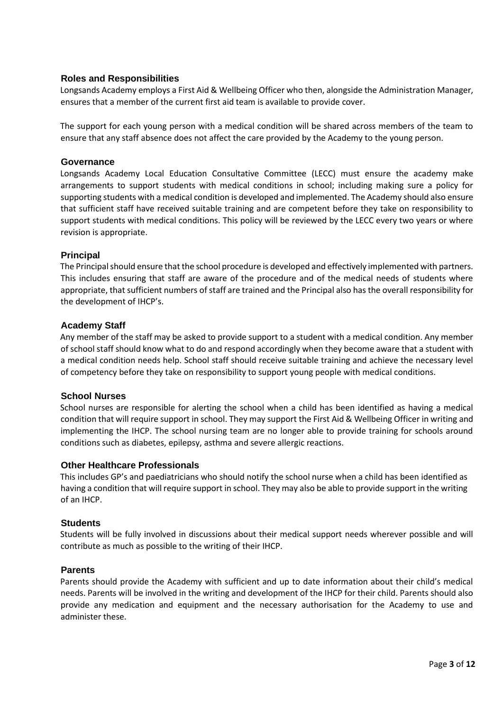#### <span id="page-2-0"></span>**Roles and Responsibilities**

Longsands Academy employs a First Aid & Wellbeing Officer who then, alongside the Administration Manager, ensures that a member of the current first aid team is available to provide cover.

The support for each young person with a medical condition will be shared across members of the team to ensure that any staff absence does not affect the care provided by the Academy to the young person.

#### <span id="page-2-1"></span>**Governance**

Longsands Academy Local Education Consultative Committee (LECC) must ensure the academy make arrangements to support students with medical conditions in school; including making sure a policy for supporting students with a medical condition is developed and implemented. The Academy should also ensure that sufficient staff have received suitable training and are competent before they take on responsibility to support students with medical conditions. This policy will be reviewed by the LECC every two years or where revision is appropriate.

#### **Principal**

The Principal should ensure that the school procedure is developed and effectively implemented with partners. This includes ensuring that staff are aware of the procedure and of the medical needs of students where appropriate, that sufficient numbers of staff are trained and the Principal also has the overall responsibility for the development of IHCP's.

#### **Academy Staff**

Any member of the staff may be asked to provide support to a student with a medical condition. Any member of school staff should know what to do and respond accordingly when they become aware that a student with a medical condition needs help. School staff should receive suitable training and achieve the necessary level of competency before they take on responsibility to support young people with medical conditions.

#### **School Nurses**

School nurses are responsible for alerting the school when a child has been identified as having a medical condition that will require support in school. They may support the First Aid & Wellbeing Officer in writing and implementing the IHCP. The school nursing team are no longer able to provide training for schools around conditions such as diabetes, epilepsy, asthma and severe allergic reactions.

#### **Other Healthcare Professionals**

This includes GP's and paediatricians who should notify the school nurse when a child has been identified as having a condition that will require support in school. They may also be able to provide support in the writing of an IHCP.

#### **Students**

Students will be fully involved in discussions about their medical support needs wherever possible and will contribute as much as possible to the writing of their IHCP.

#### **Parents**

Parents should provide the Academy with sufficient and up to date information about their child's medical needs. Parents will be involved in the writing and development of the IHCP for their child. Parents should also provide any medication and equipment and the necessary authorisation for the Academy to use and administer these.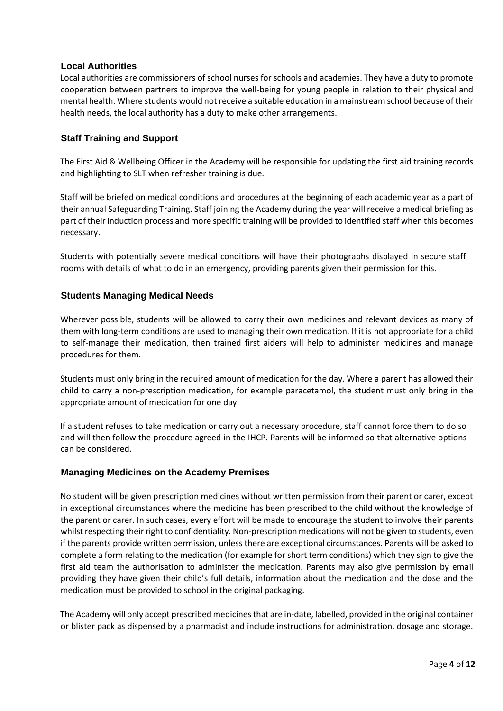## **Local Authorities**

Local authorities are commissioners of school nurses for schools and academies. They have a duty to promote cooperation between partners to improve the well-being for young people in relation to their physical and mental health. Where students would not receive a suitable education in a mainstream school because of their health needs, the local authority has a duty to make other arrangements.

# **Staff Training and Support**

The First Aid & Wellbeing Officer in the Academy will be responsible for updating the first aid training records and highlighting to SLT when refresher training is due.

Staff will be briefed on medical conditions and procedures at the beginning of each academic year as a part of their annual Safeguarding Training. Staff joining the Academy during the year will receive a medical briefing as part of their induction process and more specific training will be provided to identified staff when this becomes necessary.

Students with potentially severe medical conditions will have their photographs displayed in secure staff rooms with details of what to do in an emergency, providing parents given their permission for this.

# <span id="page-3-0"></span>**Students Managing Medical Needs**

Wherever possible, students will be allowed to carry their own medicines and relevant devices as many of them with long-term conditions are used to managing their own medication. If it is not appropriate for a child to self-manage their medication, then trained first aiders will help to administer medicines and manage procedures for them.

Students must only bring in the required amount of medication for the day. Where a parent has allowed their child to carry a non-prescription medication, for example paracetamol, the student must only bring in the appropriate amount of medication for one day.

If a student refuses to take medication or carry out a necessary procedure, staff cannot force them to do so and will then follow the procedure agreed in the IHCP. Parents will be informed so that alternative options can be considered.

## <span id="page-3-1"></span>**Managing Medicines on the Academy Premises**

No student will be given prescription medicines without written permission from their parent or carer, except in exceptional circumstances where the medicine has been prescribed to the child without the knowledge of the parent or carer. In such cases, every effort will be made to encourage the student to involve their parents whilst respecting their right to confidentiality. Non-prescription medications will not be given to students, even if the parents provide written permission, unless there are exceptional circumstances. Parents will be asked to complete a form relating to the medication (for example for short term conditions) which they sign to give the first aid team the authorisation to administer the medication. Parents may also give permission by email providing they have given their child's full details, information about the medication and the dose and the medication must be provided to school in the original packaging.

The Academy will only accept prescribed medicines that are in-date, labelled, provided in the original container or blister pack as dispensed by a pharmacist and include instructions for administration, dosage and storage.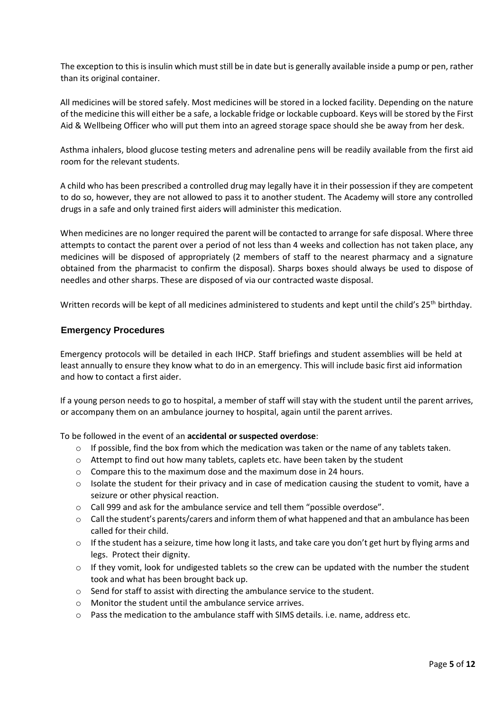The exception to this is insulin which must still be in date but is generally available inside a pump or pen, rather than its original container.

All medicines will be stored safely. Most medicines will be stored in a locked facility. Depending on the nature of the medicine this will either be a safe, a lockable fridge or lockable cupboard. Keys will be stored by the First Aid & Wellbeing Officer who will put them into an agreed storage space should she be away from her desk.

Asthma inhalers, blood glucose testing meters and adrenaline pens will be readily available from the first aid room for the relevant students.

A child who has been prescribed a controlled drug may legally have it in their possession if they are competent to do so, however, they are not allowed to pass it to another student. The Academy will store any controlled drugs in a safe and only trained first aiders will administer this medication.

When medicines are no longer required the parent will be contacted to arrange for safe disposal. Where three attempts to contact the parent over a period of not less than 4 weeks and collection has not taken place, any medicines will be disposed of appropriately (2 members of staff to the nearest pharmacy and a signature obtained from the pharmacist to confirm the disposal). Sharps boxes should always be used to dispose of needles and other sharps. These are disposed of via our contracted waste disposal.

Written records will be kept of all medicines administered to students and kept until the child's 25<sup>th</sup> birthday.

#### <span id="page-4-0"></span>**Emergency Procedures**

Emergency protocols will be detailed in each IHCP. Staff briefings and student assemblies will be held at least annually to ensure they know what to do in an emergency. This will include basic first aid information and how to contact a first aider.

If a young person needs to go to hospital, a member of staff will stay with the student until the parent arrives, or accompany them on an ambulance journey to hospital, again until the parent arrives.

To be followed in the event of an **accidental or suspected overdose**:

- $\circ$  If possible, find the box from which the medication was taken or the name of any tablets taken.
- $\circ$  Attempt to find out how many tablets, caplets etc. have been taken by the student
- o Compare this to the maximum dose and the maximum dose in 24 hours.
- o Isolate the student for their privacy and in case of medication causing the student to vomit, have a seizure or other physical reaction.
- $\circ$  Call 999 and ask for the ambulance service and tell them "possible overdose".
- $\circ$  Call the student's parents/carers and inform them of what happened and that an ambulance has been called for their child.
- $\circ$  If the student has a seizure, time how long it lasts, and take care you don't get hurt by flying arms and legs. Protect their dignity.
- $\circ$  If they vomit, look for undigested tablets so the crew can be updated with the number the student took and what has been brought back up.
- o Send for staff to assist with directing the ambulance service to the student.
- o Monitor the student until the ambulance service arrives.
- o Pass the medication to the ambulance staff with SIMS details. i.e. name, address etc.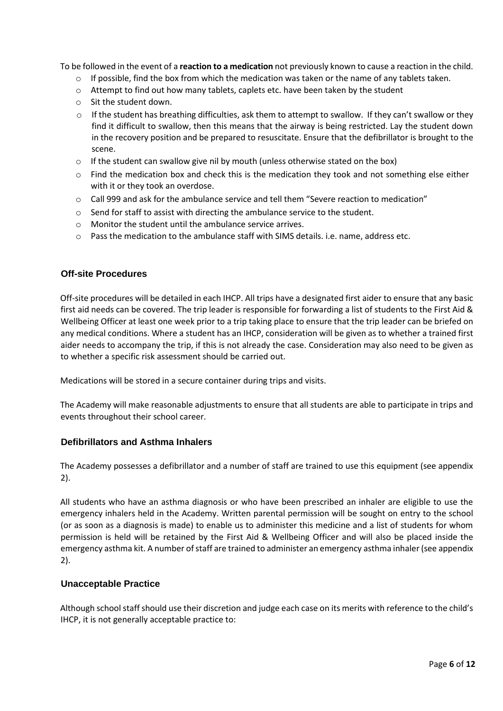To be followed in the event of a **reaction to a medication** not previously known to cause a reaction in the child.

- o If possible, find the box from which the medication was taken or the name of any tablets taken.
- $\circ$  Attempt to find out how many tablets, caplets etc. have been taken by the student
- o Sit the student down.
- $\circ$  If the student has breathing difficulties, ask them to attempt to swallow. If they can't swallow or they find it difficult to swallow, then this means that the airway is being restricted. Lay the student down in the recovery position and be prepared to resuscitate. Ensure that the defibrillator is brought to the scene.
- o If the student can swallow give nil by mouth (unless otherwise stated on the box)
- $\circ$  Find the medication box and check this is the medication they took and not something else either with it or they took an overdose.
- $\circ$  Call 999 and ask for the ambulance service and tell them "Severe reaction to medication"
- o Send for staff to assist with directing the ambulance service to the student.
- o Monitor the student until the ambulance service arrives.
- o Pass the medication to the ambulance staff with SIMS details. i.e. name, address etc.

# <span id="page-5-0"></span>**Off-site Procedures**

Off-site procedures will be detailed in each IHCP. All trips have a designated first aider to ensure that any basic first aid needs can be covered. The trip leader is responsible for forwarding a list of students to the First Aid & Wellbeing Officer at least one week prior to a trip taking place to ensure that the trip leader can be briefed on any medical conditions. Where a student has an IHCP, consideration will be given as to whether a trained first aider needs to accompany the trip, if this is not already the case. Consideration may also need to be given as to whether a specific risk assessment should be carried out.

Medications will be stored in a secure container during trips and visits.

The Academy will make reasonable adjustments to ensure that all students are able to participate in trips and events throughout their school career.

#### <span id="page-5-1"></span>**Defibrillators and Asthma Inhalers**

The Academy possesses a defibrillator and a number of staff are trained to use this equipment (see appendix 2).

All students who have an asthma diagnosis or who have been prescribed an inhaler are eligible to use the emergency inhalers held in the Academy. Written parental permission will be sought on entry to the school (or as soon as a diagnosis is made) to enable us to administer this medicine and a list of students for whom permission is held will be retained by the First Aid & Wellbeing Officer and will also be placed inside the emergency asthma kit. A number of staff are trained to administer an emergency asthma inhaler (see appendix 2).

#### <span id="page-5-2"></span>**Unacceptable Practice**

Although school staff should use their discretion and judge each case on its merits with reference to the child's IHCP, it is not generally acceptable practice to: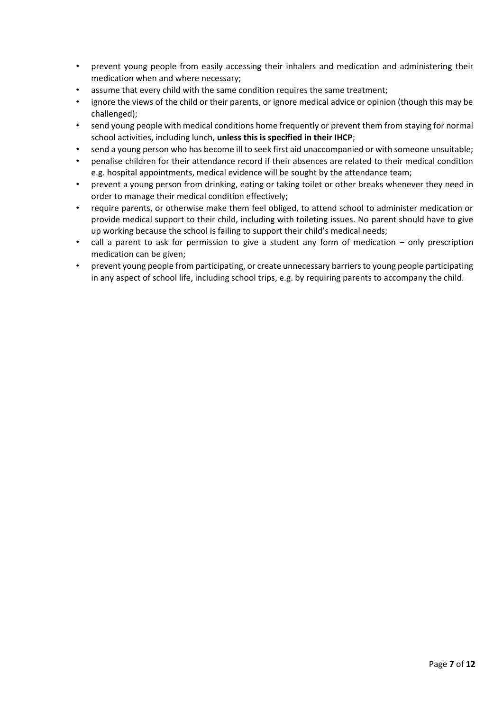- prevent young people from easily accessing their inhalers and medication and administering their medication when and where necessary;
- assume that every child with the same condition requires the same treatment;
- ignore the views of the child or their parents, or ignore medical advice or opinion (though this may be challenged);
- send young people with medical conditions home frequently or prevent them from staying for normal school activities, including lunch, **unless this is specified in their IHCP**;
- send a young person who has become ill to seek first aid unaccompanied or with someone unsuitable;
- penalise children for their attendance record if their absences are related to their medical condition e.g. hospital appointments, medical evidence will be sought by the attendance team;
- prevent a young person from drinking, eating or taking toilet or other breaks whenever they need in order to manage their medical condition effectively;
- require parents, or otherwise make them feel obliged, to attend school to administer medication or provide medical support to their child, including with toileting issues. No parent should have to give up working because the school is failing to support their child's medical needs;
- call a parent to ask for permission to give a student any form of medication  $-$  only prescription medication can be given;
- prevent young people from participating, or create unnecessary barriers to young people participating in any aspect of school life, including school trips, e.g. by requiring parents to accompany the child.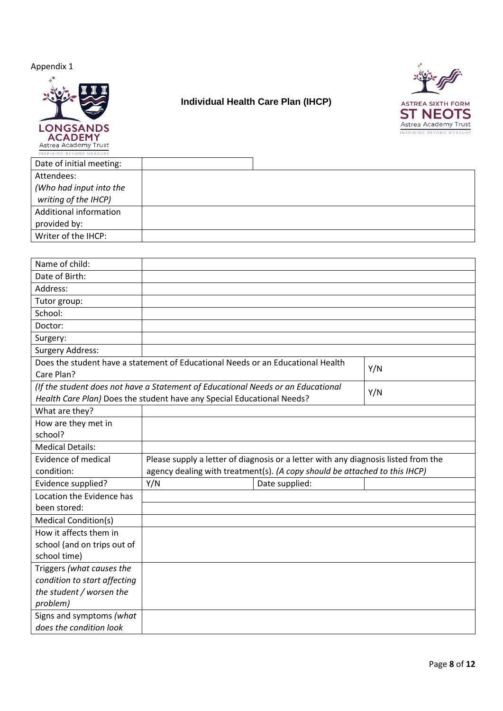Appendix 1



# <span id="page-7-0"></span>**Individual Health Care Plan (IHCP)**



| INSPIRING BEYOND MEASURE |  |
|--------------------------|--|
| Date of initial meeting: |  |
| Attendees:               |  |
| (Who had input into the  |  |
| writing of the IHCP)     |  |
| Additional information   |  |
| provided by:             |  |
| Writer of the IHCP:      |  |
|                          |  |

| Name of child:               |                                                                                    |  |     |
|------------------------------|------------------------------------------------------------------------------------|--|-----|
| Date of Birth:               |                                                                                    |  |     |
| Address:                     |                                                                                    |  |     |
| Tutor group:                 |                                                                                    |  |     |
| School:                      |                                                                                    |  |     |
| Doctor:                      |                                                                                    |  |     |
| Surgery:                     |                                                                                    |  |     |
| <b>Surgery Address:</b>      |                                                                                    |  |     |
|                              | Does the student have a statement of Educational Needs or an Educational Health    |  | Y/N |
| Care Plan?                   |                                                                                    |  |     |
|                              | (If the student does not have a Statement of Educational Needs or an Educational   |  | Y/N |
|                              | Health Care Plan) Does the student have any Special Educational Needs?             |  |     |
| What are they?               |                                                                                    |  |     |
| How are they met in          |                                                                                    |  |     |
| school?                      |                                                                                    |  |     |
| <b>Medical Details:</b>      |                                                                                    |  |     |
| Evidence of medical          | Please supply a letter of diagnosis or a letter with any diagnosis listed from the |  |     |
| condition:                   | agency dealing with treatment(s). (A copy should be attached to this IHCP)         |  |     |
| Evidence supplied?           | Y/N<br>Date supplied:                                                              |  |     |
| Location the Evidence has    |                                                                                    |  |     |
| been stored:                 |                                                                                    |  |     |
| <b>Medical Condition(s)</b>  |                                                                                    |  |     |
| How it affects them in       |                                                                                    |  |     |
| school (and on trips out of  |                                                                                    |  |     |
| school time)                 |                                                                                    |  |     |
| Triggers (what causes the    |                                                                                    |  |     |
| condition to start affecting |                                                                                    |  |     |
| the student / worsen the     |                                                                                    |  |     |
| problem)                     |                                                                                    |  |     |
| Signs and symptoms (what     |                                                                                    |  |     |
| does the condition look      |                                                                                    |  |     |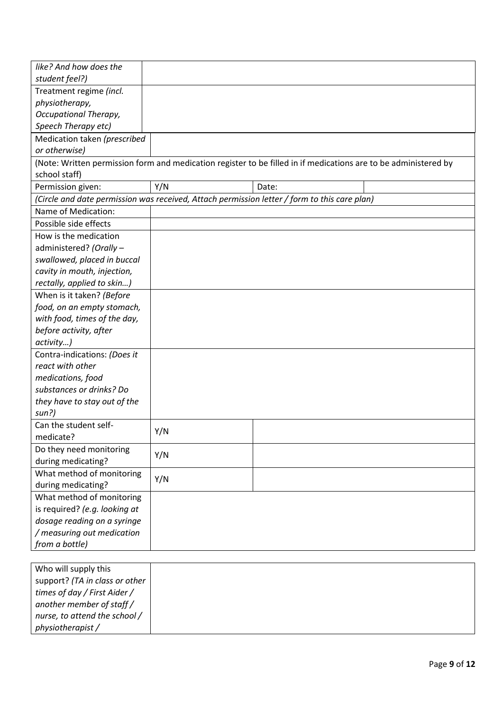| like? And how does the         |     |                                                                                                                 |
|--------------------------------|-----|-----------------------------------------------------------------------------------------------------------------|
| student feel?)                 |     |                                                                                                                 |
| Treatment regime (incl.        |     |                                                                                                                 |
| physiotherapy,                 |     |                                                                                                                 |
| Occupational Therapy,          |     |                                                                                                                 |
| Speech Therapy etc)            |     |                                                                                                                 |
| Medication taken (prescribed   |     |                                                                                                                 |
| or otherwise)                  |     |                                                                                                                 |
|                                |     | (Note: Written permission form and medication register to be filled in if medications are to be administered by |
| school staff)                  |     |                                                                                                                 |
| Permission given:              | Y/N | Date:                                                                                                           |
|                                |     | (Circle and date permission was received, Attach permission letter / form to this care plan)                    |
| Name of Medication:            |     |                                                                                                                 |
| Possible side effects          |     |                                                                                                                 |
| How is the medication          |     |                                                                                                                 |
| administered? (Orally -        |     |                                                                                                                 |
| swallowed, placed in buccal    |     |                                                                                                                 |
| cavity in mouth, injection,    |     |                                                                                                                 |
| rectally, applied to skin)     |     |                                                                                                                 |
| When is it taken? (Before      |     |                                                                                                                 |
| food, on an empty stomach,     |     |                                                                                                                 |
| with food, times of the day,   |     |                                                                                                                 |
| before activity, after         |     |                                                                                                                 |
| activity)                      |     |                                                                                                                 |
| Contra-indications: (Does it   |     |                                                                                                                 |
| react with other               |     |                                                                                                                 |
| medications, food              |     |                                                                                                                 |
| substances or drinks? Do       |     |                                                                                                                 |
| they have to stay out of the   |     |                                                                                                                 |
| sun?)                          |     |                                                                                                                 |
| Can the student self-          |     |                                                                                                                 |
| medicate?                      | Y/N |                                                                                                                 |
| Do they need monitoring        |     |                                                                                                                 |
| during medicating?             | Y/N |                                                                                                                 |
| What method of monitoring      |     |                                                                                                                 |
| during medicating?             | Y/N |                                                                                                                 |
| What method of monitoring      |     |                                                                                                                 |
| is required? (e.g. looking at  |     |                                                                                                                 |
| dosage reading on a syringe    |     |                                                                                                                 |
| / measuring out medication     |     |                                                                                                                 |
| from a bottle)                 |     |                                                                                                                 |
|                                |     |                                                                                                                 |
| Who will supply this           |     |                                                                                                                 |
| support? (TA in class or other |     |                                                                                                                 |
| times of day / First Aider /   |     |                                                                                                                 |
| another member of staff /      |     |                                                                                                                 |
| nurse, to attend the school /  |     |                                                                                                                 |
| physiotherapist/               |     |                                                                                                                 |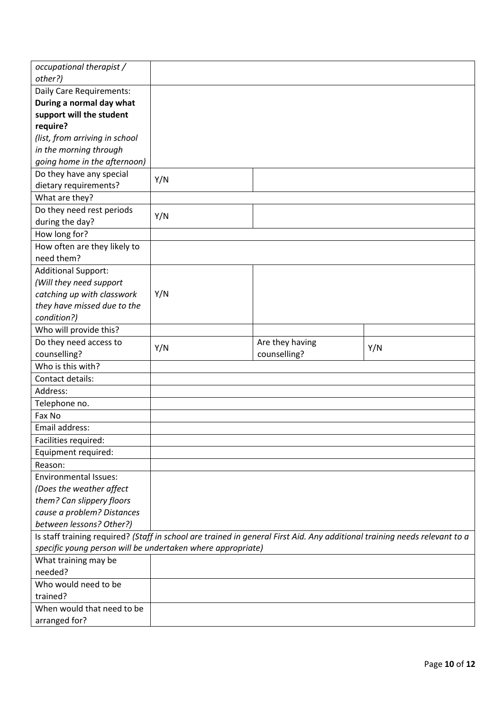| occupational therapist /                                                                                                                                                                  |     |                 |     |
|-------------------------------------------------------------------------------------------------------------------------------------------------------------------------------------------|-----|-----------------|-----|
| other?)                                                                                                                                                                                   |     |                 |     |
| Daily Care Requirements:                                                                                                                                                                  |     |                 |     |
| During a normal day what                                                                                                                                                                  |     |                 |     |
| support will the student                                                                                                                                                                  |     |                 |     |
| require?                                                                                                                                                                                  |     |                 |     |
| (list, from arriving in school                                                                                                                                                            |     |                 |     |
| in the morning through                                                                                                                                                                    |     |                 |     |
| going home in the afternoon)                                                                                                                                                              |     |                 |     |
| Do they have any special                                                                                                                                                                  |     |                 |     |
| dietary requirements?                                                                                                                                                                     | Y/N |                 |     |
| What are they?                                                                                                                                                                            |     |                 |     |
| Do they need rest periods                                                                                                                                                                 |     |                 |     |
| during the day?                                                                                                                                                                           | Y/N |                 |     |
| How long for?                                                                                                                                                                             |     |                 |     |
| How often are they likely to                                                                                                                                                              |     |                 |     |
| need them?                                                                                                                                                                                |     |                 |     |
| <b>Additional Support:</b>                                                                                                                                                                |     |                 |     |
| (Will they need support                                                                                                                                                                   |     |                 |     |
| catching up with classwork                                                                                                                                                                | Y/N |                 |     |
| they have missed due to the                                                                                                                                                               |     |                 |     |
| condition?)                                                                                                                                                                               |     |                 |     |
| Who will provide this?                                                                                                                                                                    |     |                 |     |
| Do they need access to                                                                                                                                                                    |     | Are they having |     |
| counselling?                                                                                                                                                                              | Y/N | counselling?    | Y/N |
| Who is this with?                                                                                                                                                                         |     |                 |     |
| Contact details:                                                                                                                                                                          |     |                 |     |
| Address:                                                                                                                                                                                  |     |                 |     |
| Telephone no.                                                                                                                                                                             |     |                 |     |
| Fax No                                                                                                                                                                                    |     |                 |     |
| Email address:                                                                                                                                                                            |     |                 |     |
|                                                                                                                                                                                           |     |                 |     |
| Facilities required:                                                                                                                                                                      |     |                 |     |
| Equipment required:                                                                                                                                                                       |     |                 |     |
| Reason:<br><b>Environmental Issues:</b>                                                                                                                                                   |     |                 |     |
|                                                                                                                                                                                           |     |                 |     |
| (Does the weather affect                                                                                                                                                                  |     |                 |     |
| them? Can slippery floors                                                                                                                                                                 |     |                 |     |
| cause a problem? Distances<br>between lessons? Other?)                                                                                                                                    |     |                 |     |
|                                                                                                                                                                                           |     |                 |     |
| Is staff training required? (Staff in school are trained in general First Aid. Any additional training needs relevant to a<br>specific young person will be undertaken where appropriate) |     |                 |     |
| What training may be                                                                                                                                                                      |     |                 |     |
| needed?                                                                                                                                                                                   |     |                 |     |
| Who would need to be                                                                                                                                                                      |     |                 |     |
| trained?                                                                                                                                                                                  |     |                 |     |
|                                                                                                                                                                                           |     |                 |     |
| When would that need to be<br>arranged for?                                                                                                                                               |     |                 |     |
|                                                                                                                                                                                           |     |                 |     |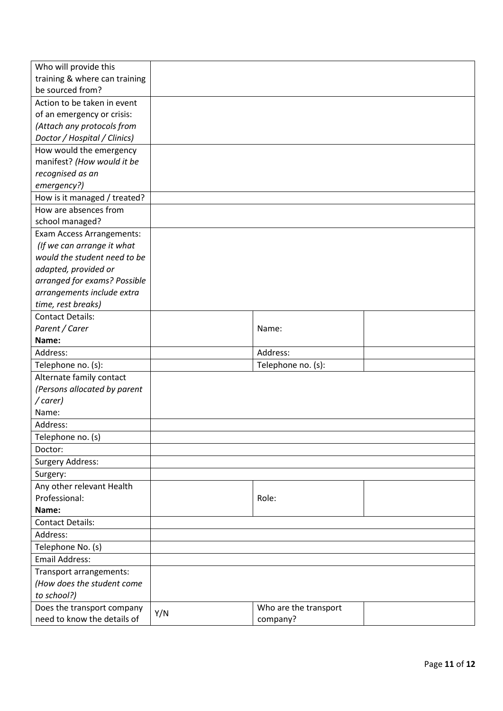| Who will provide this         |     |                       |  |
|-------------------------------|-----|-----------------------|--|
| training & where can training |     |                       |  |
| be sourced from?              |     |                       |  |
| Action to be taken in event   |     |                       |  |
| of an emergency or crisis:    |     |                       |  |
| (Attach any protocols from    |     |                       |  |
| Doctor / Hospital / Clinics)  |     |                       |  |
| How would the emergency       |     |                       |  |
| manifest? (How would it be    |     |                       |  |
| recognised as an              |     |                       |  |
| emergency?)                   |     |                       |  |
| How is it managed / treated?  |     |                       |  |
| How are absences from         |     |                       |  |
| school managed?               |     |                       |  |
| Exam Access Arrangements:     |     |                       |  |
| (If we can arrange it what    |     |                       |  |
| would the student need to be  |     |                       |  |
| adapted, provided or          |     |                       |  |
| arranged for exams? Possible  |     |                       |  |
| arrangements include extra    |     |                       |  |
| time, rest breaks)            |     |                       |  |
| <b>Contact Details:</b>       |     |                       |  |
| Parent / Carer                |     | Name:                 |  |
| Name:                         |     |                       |  |
| Address:                      |     | Address:              |  |
| Telephone no. (s):            |     | Telephone no. (s):    |  |
| Alternate family contact      |     |                       |  |
| (Persons allocated by parent  |     |                       |  |
| /carer)                       |     |                       |  |
| Name:                         |     |                       |  |
| Address:                      |     |                       |  |
| Telephone no. (s)             |     |                       |  |
| Doctor:                       |     |                       |  |
| <b>Surgery Address:</b>       |     |                       |  |
| Surgery:                      |     |                       |  |
| Any other relevant Health     |     |                       |  |
| Professional:                 |     | Role:                 |  |
| Name:                         |     |                       |  |
| <b>Contact Details:</b>       |     |                       |  |
| Address:                      |     |                       |  |
| Telephone No. (s)             |     |                       |  |
| <b>Email Address:</b>         |     |                       |  |
| Transport arrangements:       |     |                       |  |
| (How does the student come    |     |                       |  |
| to school?)                   |     |                       |  |
| Does the transport company    |     | Who are the transport |  |
| need to know the details of   | Y/N | company?              |  |